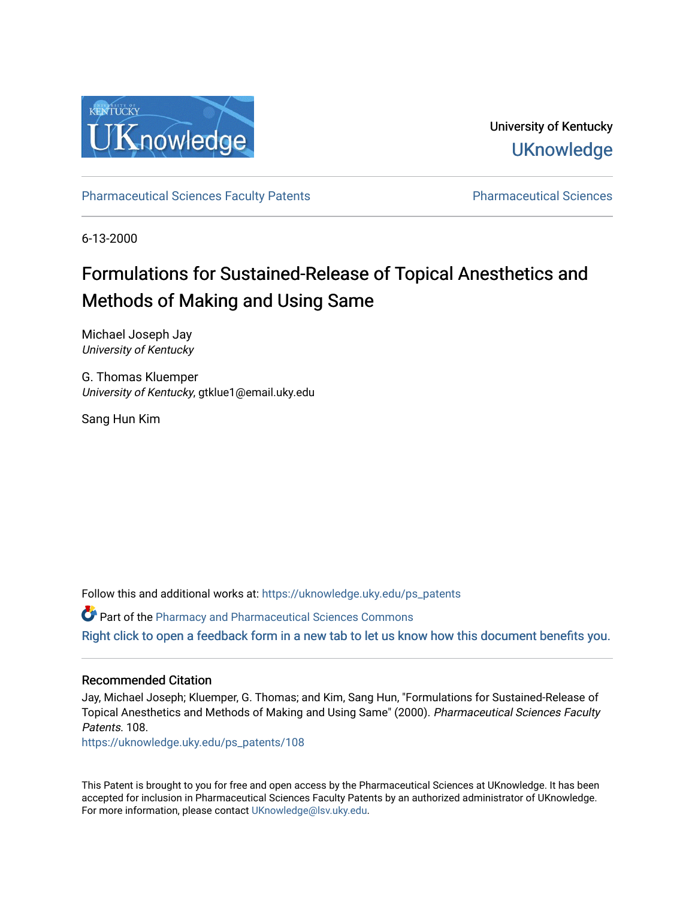

University of Kentucky **UKnowledge** 

[Pharmaceutical Sciences Faculty Patents](https://uknowledge.uky.edu/ps_patents) [Pharmaceutical Sciences](https://uknowledge.uky.edu/ps) 

6-13-2000

# Formulations for Sustained-Release of Topical Anesthetics and Methods of Making and Using Same

Michael Joseph Jay University of Kentucky

G. Thomas Kluemper University of Kentucky, gtklue1@email.uky.edu

Sang Hun Kim

Follow this and additional works at: [https://uknowledge.uky.edu/ps\\_patents](https://uknowledge.uky.edu/ps_patents?utm_source=uknowledge.uky.edu%2Fps_patents%2F108&utm_medium=PDF&utm_campaign=PDFCoverPages)

Part of the [Pharmacy and Pharmaceutical Sciences Commons](http://network.bepress.com/hgg/discipline/731?utm_source=uknowledge.uky.edu%2Fps_patents%2F108&utm_medium=PDF&utm_campaign=PDFCoverPages) [Right click to open a feedback form in a new tab to let us know how this document benefits you.](https://uky.az1.qualtrics.com/jfe/form/SV_9mq8fx2GnONRfz7)

### Recommended Citation

Jay, Michael Joseph; Kluemper, G. Thomas; and Kim, Sang Hun, "Formulations for Sustained-Release of Topical Anesthetics and Methods of Making and Using Same" (2000). Pharmaceutical Sciences Faculty Patents. 108.

[https://uknowledge.uky.edu/ps\\_patents/108](https://uknowledge.uky.edu/ps_patents/108?utm_source=uknowledge.uky.edu%2Fps_patents%2F108&utm_medium=PDF&utm_campaign=PDFCoverPages)

This Patent is brought to you for free and open access by the Pharmaceutical Sciences at UKnowledge. It has been accepted for inclusion in Pharmaceutical Sciences Faculty Patents by an authorized administrator of UKnowledge. For more information, please contact [UKnowledge@lsv.uky.edu.](mailto:UKnowledge@lsv.uky.edu)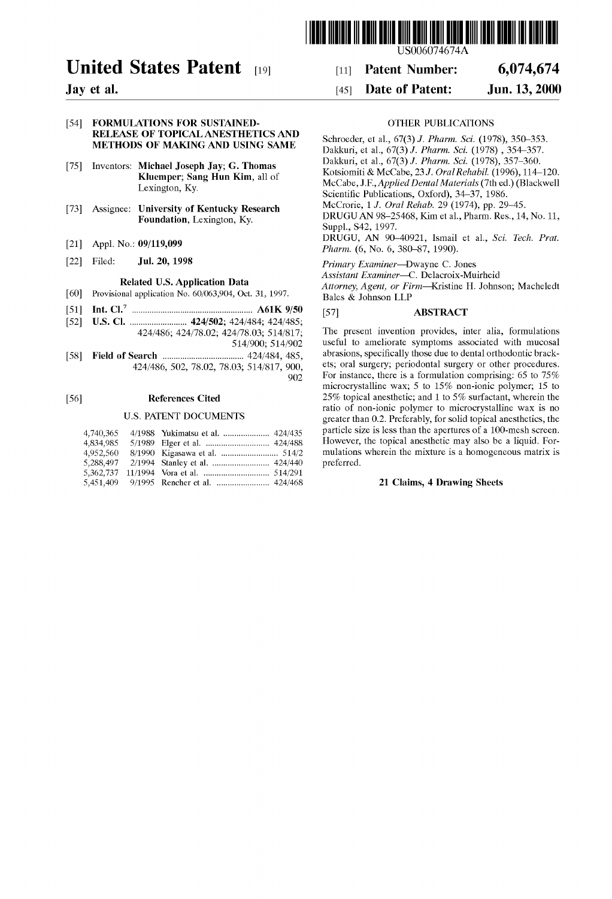

# United States Patent [19]

Jay et al.

 $[60]$ 

#### [54] FORMULATIONS FOR SUSTAINED RELEASE OF TOPICAL ANESTHETICS AND METHODS OF MAKING AND USING SAME

- [75] Inventors: Michael Joseph Jay; G. Thomas Kluemper; Sang Hun Kim, all of Lexington, Ky.
- Assignee: University of Kentucky Research Foundation, Lexington, Ky.
- Appl. No.: 09/119,099
- [22] Filed: **Jul. 20, 1998**

### Related US. Application Data

- Provisional application No. 60/063,904, Oct. 31, 1997.
- $[51]$ Int. Cl.7 ..................................................... .. A61K 9/50
- US. Cl. ........................ .. 424/502; 424/484; 424/485;  $[52]$ 424/486; 424/78.02; 424/78.03; 514/817; 514/900; 514/902
- Field of Search ................................... .. 424/484, 485,  $[58]$ 424/486, 502, 78.02, 78.03; 514/817, 900,  $902$

#### $[56]$ References Cited

#### U.S. PATENT DOCUMENTS

| 4.740.365 |  |  |
|-----------|--|--|
| 4,834,985 |  |  |
| 4,952,560 |  |  |
|           |  |  |
|           |  |  |
|           |  |  |

### US006074674A

#### [11] Patent Number: 6,074,674

### Date of Patent: [451 Jun. 13, 2000

#### OTHER PUBLICATIONS

Schroeder, et al., 67(3) J. Pharm. Sci. (1978), 350-353. Dakkuri, et al., 67(3) J. Pharm. Sci. (1978) , 354—357. Dakkuri, et al., 67(3) J. Pharm. Sci. (1978), 357—360. Kotsiomiti & McCabe, 23 J. OralRehabil. (1996), 114—120. McCabe, J.F., Applied Dental Materials (7th ed.) (Blackwell Scientific Publications, Oxford), 34–37, 1986. McCrorie, 1 J. Oral Rehab. 29 (1974), pp. 29—45. DRUGUAN 98—25468, Kim et al., Pharm. Res., 14, No. 11, Suppl., S42, 1997. DRUGU, AN 90—40921, Ismail et al., Sci. Tech. Prat. Pharm. (6, No. 6, 380-87, 1990).

Primary Examiner—DWayne C. Jones

Assistant Examiner—C. Delacroix-Muirheid Attorney, Agent, or Firm—Kristine H. Johnson; Macheledt Bales & Johnson LLP

#### [57] ABSTRACT

The present invention provides, inter alia, formulations useful to ameliorate symptoms associated With mucosal abrasions, specifically those due to dental orthodontic brackets; oral surgery; periodontal surgery or other procedures. For instance, there is a formulation comprising: 65 to 75% microcrystalline Wax; 5 to 15% non-ionic polymer; 15 to 25% topical anesthetic; and 1 to 5% surfactant, Wherein the ratio of non-ionic polymer to microcrystalline Wax is no greater than 0.2. Preferably, for solid topical anesthetics, the particle size is less than the apertures of a 100-mesh screen. HoWever, the topical anesthetic may also be a liquid. For mulations Wherein the mixture is a homogeneous matrix is preferred.

#### 21 Claims, 4 Drawing Sheets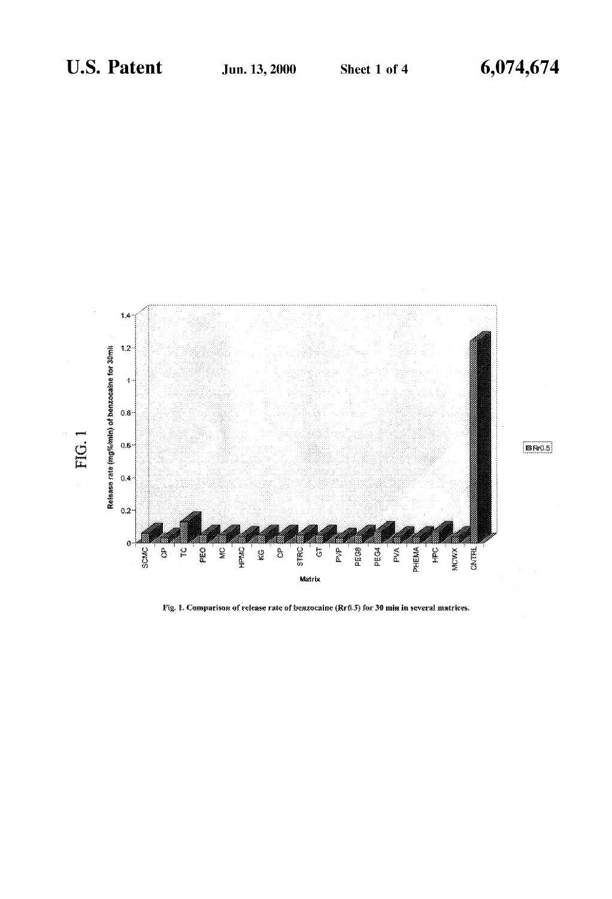

Fig. 1. Comparison of release rate of benzocaine (Rr0.5) for 30 min in several matrices.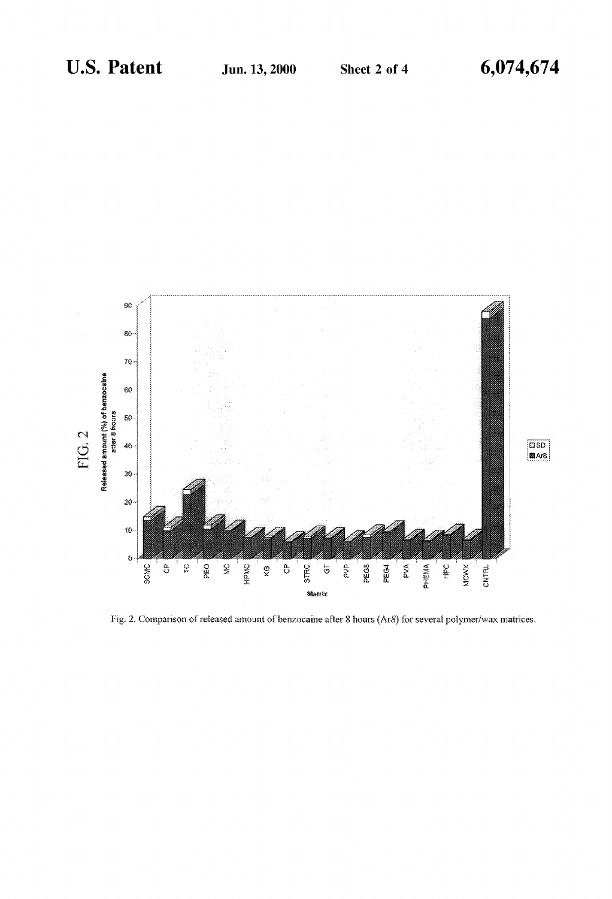

Fig. 2. Comparison of released amount of benzocaine after 8 hours (Ar8) for several polymer/wax matrices.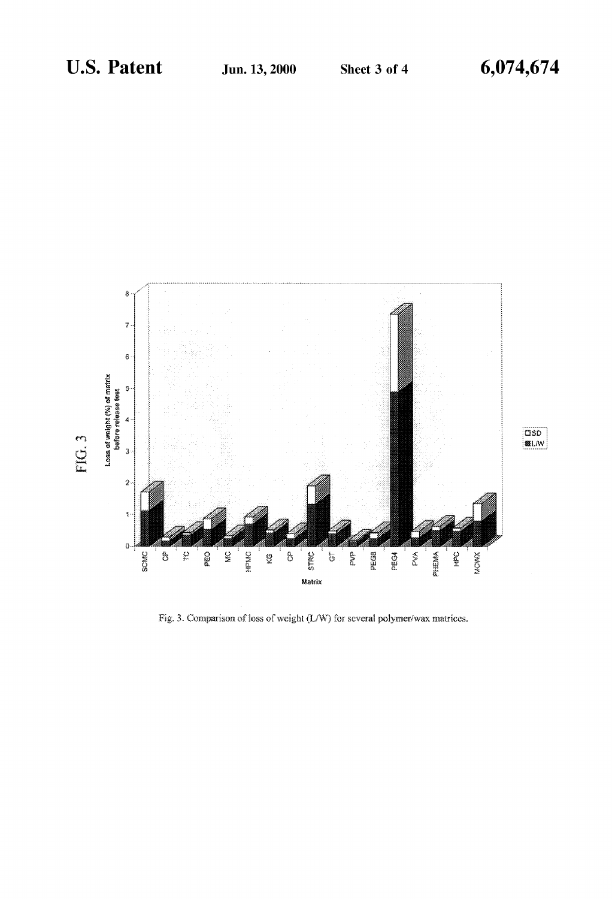

Fig. 3. Comparison of loss of weight (L/W) for several polymer/wax matrices.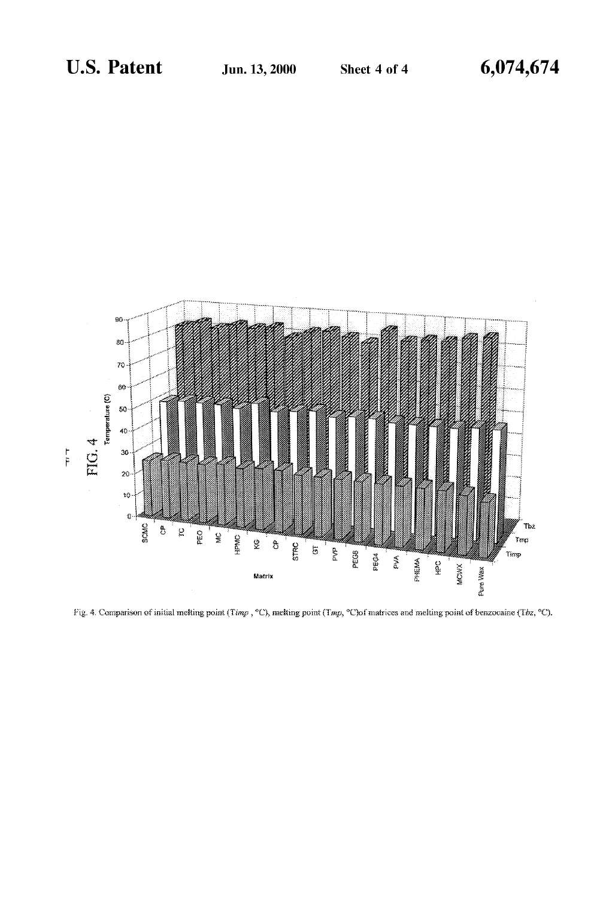

Fig. 4. Comparison of initial melting point (Timp, °C), melting point (Tmp, °C)of matrices and melting point of benzocaine (Tbz, °C).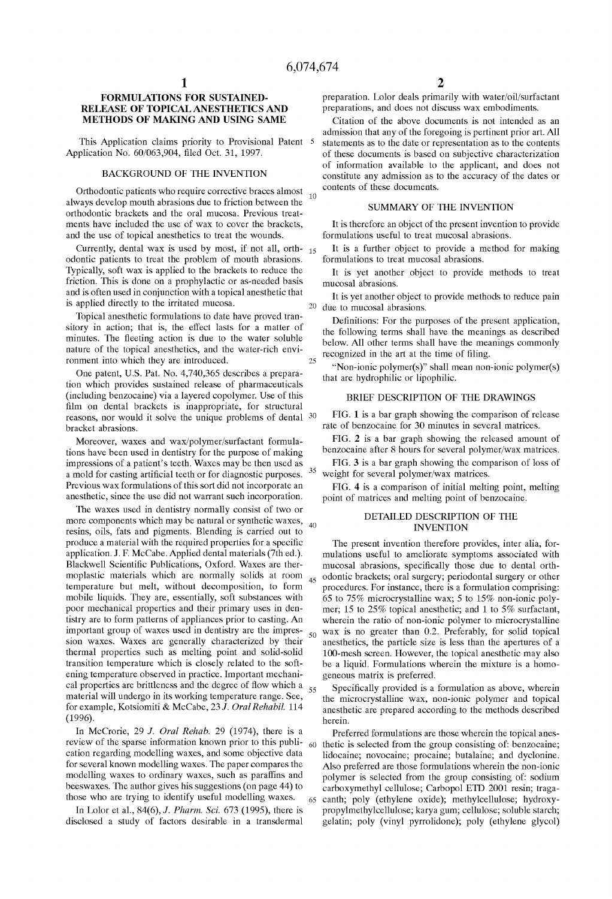10

25

35

60

 $50$ 

65

### FORMULATIONS FOR SUSTAINED RELEASE OF TOPICAL ANESTHETICS AND METHODS OF MAKING AND USING SAME

This Application claims priority to Provisional Patent 5 Application No. 60/063,904, filed Oct. 31, 1997.

#### BACKGROUND OF THE INVENTION

Orthodontic patients Who require corrective braces almost always develop mouth abrasions due to friction between the orthodontic brackets and the oral mucosa. Previous treat ments have included the use of Wax to cover the brackets, and the use of topical anesthetics to treat the Wounds.

Currently, dental wax is used by most, if not all, orth-  $_{15}$ odontic patients to treat the problem of mouth abrasions. Typically, soft Wax is applied to the brackets to reduce the friction. This is done on a prophylactic or as-needed basis and is often used in conjunction With a topical anesthetic that is applied directly to the irritated mucosa.

Topical anesthetic formulations to date have proved tran sitory in action; that is, the effect lasts for a matter of minutes. The fleeting action is due to the water soluble nature of the topical anesthetics, and the Water-rich envi ronment into Which they are introduced.

One patent, US. Pat. No. 4,740,365 describes a prepara tion Which provides sustained release of pharmaceuticals (including benZocaine) via a layered copolymer. Use of this film on dental brackets is inappropriate, for structural reasons, nor would it solve the unique problems of dental <sup>30</sup> bracket abrasions.

Moreover, Waxes and Wax/polymer/surfactant formula tions have been used in dentistry for the purpose of making impressions of a patient's teeth. Waxes may be then used as a mold for casting artificial teeth or for diagnostic purposes. Previous Wax formulations of this sort did not incorporate an anesthetic, since the use did not Warrant such incorporation.

The waxes used in dentistry normally consist of two or more components which may be natural or synthetic waxes,  $\frac{40}{10}$ resins, oils, fats and pigments. Blending is carried out to produce a material with the required properties for a specific application. J. F. McCabe. Applied dental materials (7th ed.). Blackwell Scientific Publications, Oxford. Waxes are thermoplastic materials Which are normally solids at room temperature but melt, Without decomposition, to form mobile liquids. They are, essentially, soft substances With poor mechanical properties and their primary uses in den tistry are to form patterns of appliances prior to casting. An important group of Waxes used in dentistry are the impres sion waxes. Waxes are generally characterized by their thermal properties such as melting point and solid-solid transition temperature Which is closely related to the soft ening temperature observed in practice. Important mechani cal properties are brittleness and the degree of flow which a  $_{55}$ material Will undergo in its Working temperature range. See, for example, Kotsiomiti & McCabe, 23 J. Oral Rehabil. 114 (1996).

In McCrorie, 29 J. Oral Rehab. 29 (1974), there is a review of the sparse information known prior to this publication regarding modelling Waxes, and some objective data for several known modelling waxes. The paper compares the modelling Waxes to ordinary Waxes, such as paraffins and beesWaxes. The author gives his suggestions (on page 44) to those Who are trying to identify useful modelling Waxes.

In Lolor et al., 84(6), J. Pharm. Sci. 673 (1995), there is disclosed a study of factors desirable in a transdermal preparation. Lolor deals primarily With Water/oil/surfactant preparations, and does not discuss Wax embodiments.

Citation of the above documents is not intended as an admission that any of the foregoing is pertinent prior art. All statements as to the date or representation as to the contents of these documents is based on subjective characterization of information available to the applicant, and does not constitute any admission as to the accuracy of the dates or contents of these documents.

#### SUMMARY OF THE INVENTION

It is therefore an object of the present invention to provide formulations useful to treat mucosal abrasions.

It is a further object to provide a method for making formulations to treat mucosal abrasions.

It is yet another object to provide methods to treat mucosal abrasions.

20 due to mucosal abrasions. It is yet another object to provide methods to reduce pain

Definitions: For the purposes of the present application, the folloWing terms shall have the meanings as described beloW. All other terms shall have the meanings commonly recognized in the art at the time of filing.

"Non-ionic polymer(s)" shall mean non-ionic polymer(s) that are hydrophilic or lipophilic.

#### BRIEF DESCRIPTION OF THE DRAWINGS

FIG. 1 is a bar graph showing the comparison of release rate of benzocaine for 30 minutes in several matrices.

FIG. 2 is a bar graph shoWing the released amount of benZocaine after 8 hours for several polymer/Wax matrices.

FIG. 3 is a bar graph showing the comparison of loss of Weight for several polymer/Wax matrices.

FIG. 4 is a comparison of initial melting point, melting point of matrices and melting point of benzocaine.

### DETAILED DESCRIPTION OF THE INVENTION

45 odontic brackets; oral surgery; periodontal surgery or other The present invention therefore provides, inter alia, for mulations useful to ameliorate symptoms associated With mucosal abrasions, specifically those due to dental orthprocedures. For instance, there is a formulation comprising: 65 to 75% microcrystalline Wax; 5 to 15% non-ionic poly mer; 15 to 25% topical anesthetic; and 1 to 5% surfactant, wherein the ratio of non-ionic polymer to microcrystalline Wax is no greater than 0.2. Preferably, for solid topical anesthetics, the particle size is less than the apertures of a 100-mesh screen. HoWever, the topical anesthetic may also be a liquid. Formulations Wherein the mixture is a homo geneous matrix is preferred.

Specifically provided is a formulation as above, wherein the microcrystalline Wax, non-ionic polymer and topical anesthetic are prepared according to the methods described herein.

Preferred formulations are those Wherein the topical anes thetic is selected from the group consisting of: benzocaine; lidocaine; novocaine; procaine; butalaine; and dyclonine. Also preferred are those formulations Wherein the non-ionic polymer is selected from the group consisting of: sodium carboxymethyl cellulose; Carbopol ETD 2001 resin; traga canth; poly (ethylene oxide); methylcellulose; hydroxy propylmethylcellulose; karya gum; cellulose; soluble starch; gelatin; poly (vinyl pyrrolidone); poly (ethylene glycol)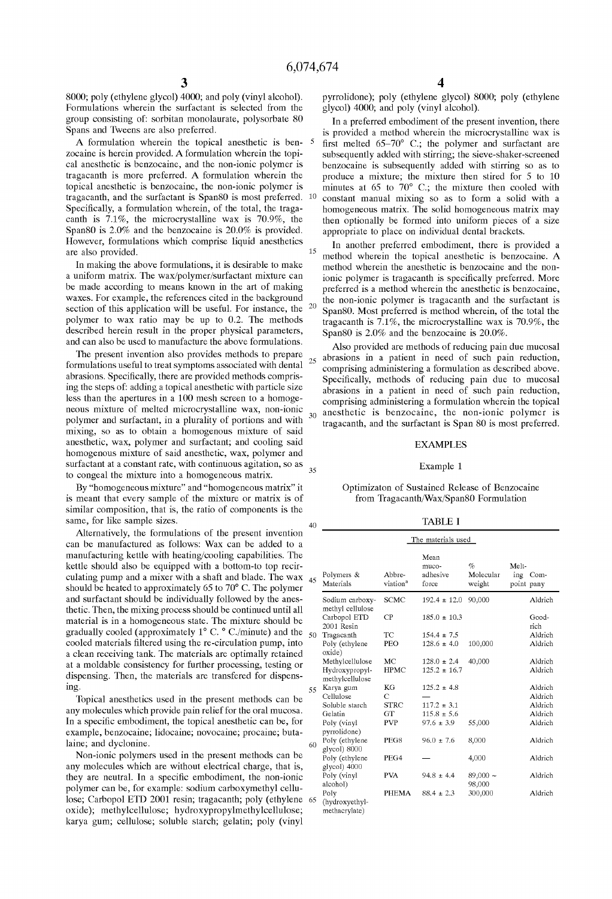15

20

30

 $25$ 

40

8000; poly (ethylene glycol) 4000; and poly (vinyl alcohol). Formulations Wherein the surfactant is selected from the group consisting of: sorbitan monolaurate, polysorbate 80 Spans and TWeens are also preferred.

A formulation Wherein the topical anesthetic is ben Zocaine is herein provided. A formulation Wherein the topi cal anesthetic is benZocaine, and the non-ionic polymer is tragacanth is more preferred. A formulation Wherein the topical anesthetic is benzocaine, the non-ionic polymer is tragacanth, and the surfactant is Span80 is most preferred. 10 Specifically, a formulation wherein, of the total, the tragacanth is 7.1%, the microcrystalline Wax is 70.9%, the Span80 is 2.0% and the benzocaine is 20.0% is provided. HoWever, formulations Which comprise liquid anesthetics are also provided.

In making the above formulations, it is desirable to make a uniform matrix. The Wax/polymer/surfactant mixture can be made according to means known in the art of making Waxes. For example, the references cited in the background section of this application Will be useful. For instance, the polymer to Wax ratio may be up to 0.2. The methods described herein result in the proper physical parameters, and can also be used to manufacture the above formulations.

The present invention also provides methods to prepare formulations useful to treat symptoms associated with dental <sup>25</sup> abrasions. Specifically, there are provided methods comprising the steps of: adding a topical anesthetic with particle size less than the apertures in a 100 mesh screen to a homoge neous mixture of melted microcrystalline Wax, non-ionic polymer and surfactant, in a plurality of portions and With mixing, so as to obtain a homogenous mixture of said anesthetic, Wax, polymer and surfactant; and cooling said homogenous mixture of said anesthetic, Wax, polymer and surfactant at a constant rate, With continuous agitation, so as to congeal the mixture into a homogeneous matrix.

By "homogeneous mixture" and "homogeneous matrix" it is meant that every sample of the mixture or matrix is of similar composition, that is, the ratio of components is the same, for like sample sizes.

Alternatively, the formulations of the present invention can be manufactured as folloWs: Wax can be added to a manufacturing kettle With heating/cooling capabilities. The kettle should also be equipped With a bottom-to top recir culating pump and a mixer With a shaft and blade. The Wax should be heated to approximately 65 to 70° C. The polymer and surfactant should be individually followed by the anesthetic. Then, the mixing process should be continued until all material is in a homogeneous state. The mixture should be gradually cooled (approximately 1° C. ° C./minute) and the cooled materials filtered using the re-circulation pump, into a clean receiving tank. The materials are optimally retained at a moldable consistency for further processing, testing or dispensing. Then, the materials are transfered for dispens ing.

Topical anesthetics used in the present methods can be any molecules Which provide pain relief for the oral mucosa. In a specific embodiment, the topical anesthetic can be, for example, benzocaine; lidocaine; novocaine; procaine; butalaine; and dyclonine.

Non-ionic polymers used in the present methods can be any molecules Which are Without electrical charge, that is, they are neutral. In a specific embodiment, the non-ionic polymer can be, for example: sodium carboxymethyl cellu lose; Carbopol ETD 2001 resin; tragacanth; poly (ethylene oxide); methylcellulose; hydroxypropylmethylcellulose; karya gum; cellulose; soluble starch; gelatin; poly (vinyl pyrrolidone); poly (ethylene glycol) 8000; poly (ethylene glycol) 4000; and poly (vinyl alcohol).

In a preferred embodiment of the present invention, there is provided a method Wherein the microcrystalline Wax is first melted  $65-70^{\circ}$  C.; the polymer and surfactant are subsequently added With stirring; the sieve-shaker-screened benZocaine is subsequently added With stirring so as to produce a mixture; the mixture then stired for 5 to 10 minutes at 65 to 70° C.; the mixture then cooled with constant manual mixing so as to form a solid With a homogeneous matrix. The solid homogeneous matrix may then optionally be formed into uniform pieces of a size appropriate to place on individual dental brackets.

In another preferred embodiment, there is provided a method wherein the topical anesthetic is benzocaine. A method wherein the anesthetic is benzocaine and the nonionic polymer is tragacanth is specifically preferred. More preferred is a method wherein the anesthetic is benzocaine, the non-ionic polymer is tragacanth and the surfactant is Span80. Most preferred is method Wherein, of the total the tragacanth is 7.1%, the microcrystalline Wax is 70.9%, the Span80 is 2.0% and the benzocaine is 20.0%.

Also provided are methods of reducing pain due mucosal abrasions in a patient in need of such pain reduction, comprising administering a formulation as described above. Specifically, methods of reducing pain due to mucosal abrasions in a patient in need of such pain reduction, comprising administering a formulation Wherein the topical anesthetic is benzocaine, the non-ionic polymer is tragacanth, and the surfactant is Span 80 is most preferred.

#### EXAMPLES

#### Example 1

#### Optimizaton of Sustained Release of Benzocaine from Tragacanth/Wax/Span80 Formulation

#### TABLE I

|    |                                                |                                | The materials used                 |                             |                                    |
|----|------------------------------------------------|--------------------------------|------------------------------------|-----------------------------|------------------------------------|
| 45 | Polymers &<br>Materials                        | Abbre-<br>viation <sup>a</sup> | Mean<br>muco-<br>adhesive<br>force | $\%$<br>Molecular<br>weight | Melt-<br>ing<br>Com-<br>point pany |
|    | Sodium carboxy-                                | <b>SCMC</b>                    | $192.4 \pm 12.0$                   | 90,000                      | Aldrich                            |
|    | methyl cellulose<br>Carbopol ETD<br>2001 Resin | СP                             | $185.0 \pm 10.3$                   |                             | Good-<br>rich                      |
| 50 | Tragacanth                                     | ТC                             | $154.4 \pm 7.5$                    |                             | Aldrich                            |
|    | Poly (ethylene                                 | PEO                            | $128.6 \pm 4.0$                    | 100,000                     | Aldrich                            |
|    | oxide)                                         | MC                             | $128.0 \pm 2.4$                    | 40,000                      | Aldrich                            |
|    | Methylcellulose                                | <b>HPMC</b>                    | $125.2 \pm 16.7$                   |                             | Aldrich                            |
|    | Hydroxypropyl-<br>methylcellulose              |                                |                                    |                             |                                    |
| 55 | Karya gum                                      | KG                             | $125.2 \pm 4.8$                    |                             | Aldrich                            |
|    | Cellulose                                      | C                              |                                    |                             | Aldrich                            |
|    | Soluble starch                                 | <b>STRC</b>                    | $117.2 \pm 3.1$                    |                             | Aldrich                            |
|    | Gelatin                                        | GТ                             | $115.8 \pm 5.6$                    |                             | Aldrich                            |
|    | Poly (vinyl<br>pyrrolidone)                    | <b>PVP</b>                     | $97.6 \pm 3.9$                     | 55,000                      | Aldrich                            |
| 60 | Poly (ethylene<br>glycol) 8000                 | PEG8                           | $96.0 \pm 7.6$                     | 8,000                       | Aldrich                            |
|    | Poly (ethylene<br>glycol) 4000                 | PEG4                           |                                    | 4,000                       | Aldrich                            |
|    | Poly (vinyl                                    | PVA                            | $94.8 \pm 4.4$                     | $89,000 -$                  | Aldrich                            |
|    | alcohol)                                       |                                |                                    | 98,000                      |                                    |
| 65 | Poly                                           | PHEMA                          | $88.4 \pm 2.3$                     | 300,000                     | Aldrich                            |
|    | (hydroxyethyl-<br>methacrylate)                |                                |                                    |                             |                                    |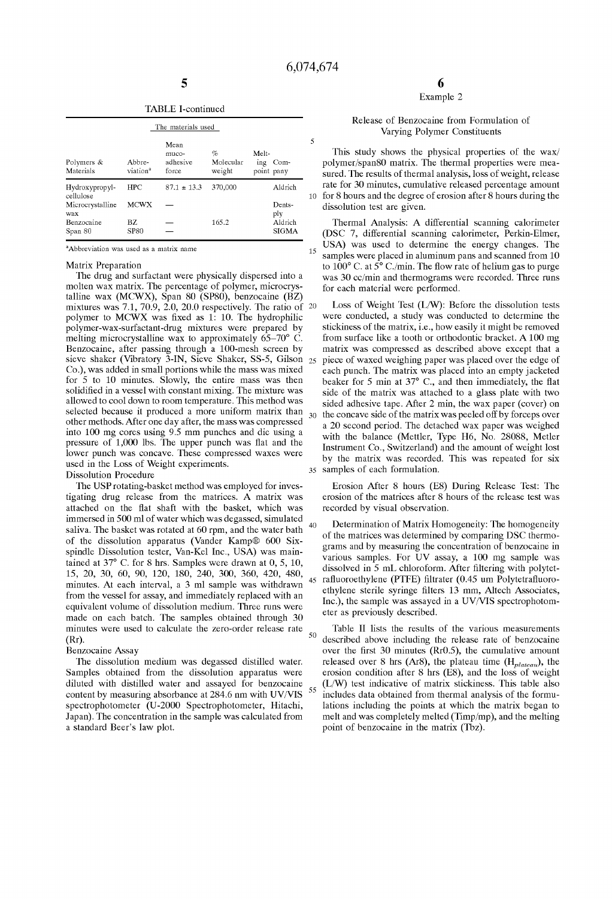5

15

25

30

 $40$ 

#### TABLE I-continued

| The materials used          |                                |                                    |                          |                                    |  |  |  |  |  |  |
|-----------------------------|--------------------------------|------------------------------------|--------------------------|------------------------------------|--|--|--|--|--|--|
| Polymers &<br>Materials     | Abbre-<br>viation <sup>a</sup> | Mean<br>muco-<br>adhesive<br>force | %<br>Molecular<br>weight | Melt-<br>ing<br>Com-<br>point pany |  |  |  |  |  |  |
| Hydroxypropyl-<br>cellulose | <b>HPC</b>                     | $87.1 \pm 13.3$                    | 370,000                  | Aldrich                            |  |  |  |  |  |  |
| Microcrystalline<br>wax     | <b>MCWX</b>                    |                                    |                          | Dents-<br>ply                      |  |  |  |  |  |  |
| Benzocaine<br>Span 80       | BZ.<br><b>SP80</b>             |                                    | 165.2                    | Aldrich<br><b>SIGMA</b>            |  |  |  |  |  |  |

<sup>a</sup>Abbreviation was used as a matrix name

#### Matrix Preparation

The drug and surfactant Were physically dispersed into a molten Wax matrix. The percentage of polymer, microcrys talline wax (MCWX), Span 80 (SP80), benzocaine  $(BZ)$ mixtures Was 7.1, 70.9, 2.0, 20.0 respectively. The ratio of 20 polymer to MCWX was fixed as  $1: 10$ . The hydrophilic polymer-Wax-surfactant-drug mixtures Were prepared by melting microcrystalline Wax to approximately 65—70° C. Benzocaine, after passing through a 100-mesh screen by sieve shaker (Vibratory 3-IN, Sieve Shaker, SS-5, Gilson Co.), Was added in small portions While the mass Was mixed for 5 to 10 minutes. Slowly, the entire mass was then solidified in a vessel with constant mixing. The mixture was alloWed to cool doWn to room temperature. This method Was selected because it produced a more uniform matrix than other methods. After one day after, the mass Was compressed into 100 mg cores using 9.5 mm punches and die using a pressure of 1,000 lbs. The upper punch was flat and the loWer punch Was concave. These compressed Waxes Were used in the Loss of Weight experiments. Dissolution Procedure

The USP rotating-basket method Was employed for inves tigating drug release from the matrices. A matrix Was attached on the flat shaft with the basket, which was immersed in 500 ml of Water Which Was degassed, simulated saliva. The basket Was rotated at 60 rpm, and the Water bath of the dissolution apparatus (Vander Kamp® 600 Six spindle Dissolution tester, Van-Kel Inc., USA) Was main tained at 37° C. for 8 hrs. Samples Were draWn at 0, 5, 10, 15, 20, 30, 60, 90, 120, 180, 240, 300, 360, 420, 480, minutes. At each interval, a 3 ml sample Was Withdrawn from the vessel for assay, and immediately replaced With an equivalent volume of dissolution medium. Three runs Were made on each batch. The samples obtained through 30 minutes Were used to calculate the Zero-order release rate

## (Rr). Benzocaine Assay

The dissolution medium Was degassed distilled Water. Samples obtained from the dissolution apparatus Were diluted with distilled water and assayed for benzocaine content by measuring absorbance at 284.6 nm with UV/VIS spectrophotometer (U-2000 Spectrophotometer, Hitachi, Japan). The concentration in the sample Was calculated from a standard Beer's laW plot.

### Example 2

#### Release of Benzocaine from Formulation of Varying Polymer Constituents

10 for 8 hours and the degree of erosion after 8 hours during the This study shows the physical properties of the wax/ polymer/span80 matrix. The thermal properties Were mea sured. The results of thermal analysis, loss of Weight, release rate for 30 minutes, cumulative released percentage amount dissolution test are given.

Thermal Analysis: A differential scanning calorimeter (DSC 7, differential scanning calorimeter, Perkin-Elmer, USA) Was used to determine the energy changes. The samples were placed in aluminum pans and scanned from 10 to 100° C. at 5° C./min. The How rate of helium gas to purge Was 30 cc/min and thermograms Were recorded. Three runs for each material Were performed.

35 samples of each formulation. Loss of Weight Test (L/W): Before the dissolution tests Were conducted, a study Was conducted to determine the stickiness of the matrix, i.e., hoW easily it might be removed from surface like a tooth or orthodontic bracket. A 100 mg matrix Was compressed as described above except that a piece of Waxed Weighing paper Was placed over the edge of each punch. The matrix was placed into an empty jacketed beaker for 5 min at  $37^{\circ}$  C., and then immediately, the flat side of the matrix Was attached to a glass plate With tWo sided adhesive tape. After 2 min, the Wax paper (cover) on the concave side of the matrix Was peeled off by forceps over a 20 second period. The detached Wax paper Was Weighed With the balance (Mettler, Type H6, No. 28088, Metler Instrument Co., Switzerland) and the amount of Weight lost by the matrix Was recorded. This Was repeated for six

Erosion After 8 hours (E8) During Release Test: The erosion of the matrices after 8 hours of the release test Was recorded by visual observation.

45 rafluoroethylene (PTFE) filtrater (0.45 um Polytetrafluoro-Determination of Matrix Homogeneity: The homogeneity of the matrices Was determined by comparing DSC thermo grams and by measuring the concentration of benzocaine in various samples. For UV assay, a 100 mg sample Was dissolved in  $\overline{5}$  mL chloroform. After filtering with polytetethylene sterile syringe filters 13 mm, Altech Associates, Inc.), the sample was assayed in a UV/VIS spectrophotometer as previously described.

 $50$ 55 Table II lists the results of the various measurements described above including the release rate of benzocaine over the first 30 minutes ( $Rr0.5$ ), the cumulative amount released over 8 hrs (Ar8), the plateau time  $(H_{plateau})$ , the erosion condition after 8 hrs (E8), and the loss of Weight (L/W) test indicative of matrix stickiness. This table also includes data obtained from thermal analysis of the formu lations including the points at Which the matrix began to melt and Was completely melted (Timp/mp), and the melting point of benzocaine in the matrix (Tbz).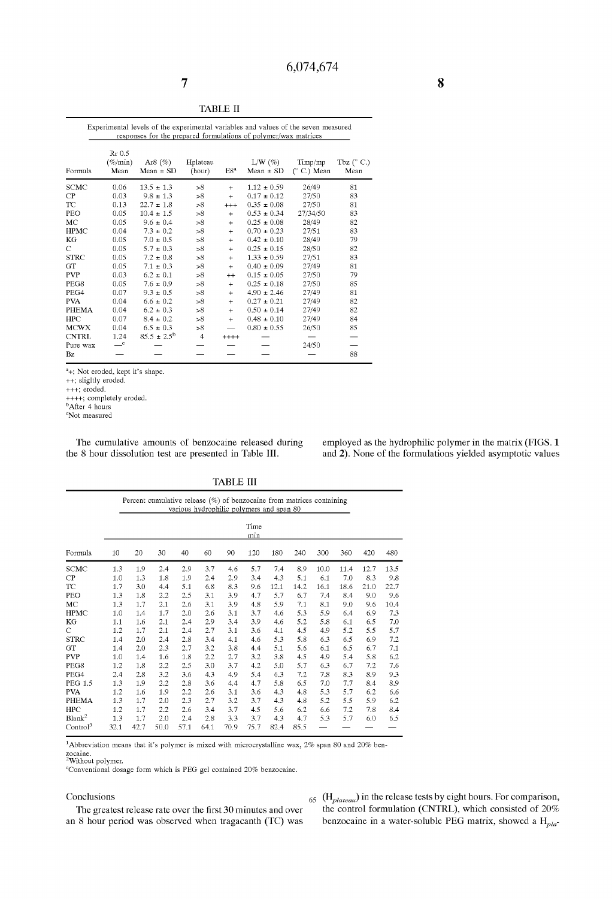| <b>Service Service</b><br>ю |  |
|-----------------------------|--|
|                             |  |

| Experimental levels of the experimental variables and values of the seven measured<br>responses for the prepared formulations of polymer/wax matrices |                                       |                                         |                    |                 |                            |                               |                             |  |  |
|-------------------------------------------------------------------------------------------------------------------------------------------------------|---------------------------------------|-----------------------------------------|--------------------|-----------------|----------------------------|-------------------------------|-----------------------------|--|--|
| Formula                                                                                                                                               | Rr 0.5<br>$(\%_{\text{min}})$<br>Mean | Ar <sub>8</sub> $(\%)$<br>Mean $\pm$ SD | Hplateau<br>(hour) | E8 <sup>a</sup> | $L/W(\%)$<br>$Mean \pm SD$ | Timp/mp<br>$(^\circ$ C.) Mean | Tbz $(^{\circ}$ C.)<br>Mean |  |  |
| <b>SCMC</b>                                                                                                                                           | 0.06                                  | $13.5 \pm 1.3$                          | >8                 | $\ddot{}$       | $1.12 \pm 0.59$            | 26/49                         | 81                          |  |  |
| CP                                                                                                                                                    | 0.03                                  | $9.8 \pm 1.3$                           | >8                 | $+$             | $0.17 \pm 0.12$            | 27/50                         | 83                          |  |  |
| TC                                                                                                                                                    | 0.13                                  | $22.7 \pm 1.8$                          | >8                 | $^{+++}$        | $0.35 \pm 0.08$            | 27/50                         | 81                          |  |  |
| PEO                                                                                                                                                   | 0.05                                  | $10.4 \pm 1.5$                          | >8                 | $+$             | $0.53 \pm 0.34$            | 27/34/50                      | 83                          |  |  |
| MC                                                                                                                                                    | 0.05                                  | $9.6 \pm 0.4$                           | >8                 | $+$             | $0.25 \pm 0.08$            | 28/49                         | 82                          |  |  |
| <b>HPMC</b>                                                                                                                                           | 0.04                                  | $7.3 \pm 0.2$                           | >8                 | $+$             | $0.70 \pm 0.23$            | 27/51                         | 83                          |  |  |
| KG                                                                                                                                                    | 0.05                                  | $7.0 \pm 0.5$                           | >8                 | $+$             | $0.42 \pm 0.10$            | 28/49                         | 79                          |  |  |
| C                                                                                                                                                     | 0.05                                  | $5.7 \pm 0.3$                           | >8                 | $+$             | $0.25 \pm 0.15$            | 28/50                         | 82                          |  |  |
| <b>STRC</b>                                                                                                                                           | 0.05                                  | $7.2 \pm 0.8$                           | >8                 | $+$             | $1.33 \pm 0.59$            | 27/51                         | 83                          |  |  |
| GT                                                                                                                                                    | 0.05                                  | $7.1 \pm 0.3$                           | >8                 | $+$             | $0.40 \pm 0.09$            | 27/49                         | 81                          |  |  |
| <b>PVP</b>                                                                                                                                            | 0.03                                  | $6.2 \pm 0.1$                           | >8                 | $^{++}$         | $0.15 \pm 0.05$            | 27/50                         | 79                          |  |  |
| PEG8                                                                                                                                                  | 0.05                                  | $7.6 \pm 0.9$                           | >8                 | $+$             | $0.25 \pm 0.18$            | 27/50                         | 85                          |  |  |
| PEG4                                                                                                                                                  | 0.07                                  | $9.3 \pm 0.5$                           | >8                 | $+$             | $4.90 \pm 2.46$            | 27/49                         | 81                          |  |  |
| <b>PVA</b>                                                                                                                                            | 0.04                                  | $6.6 \pm 0.2$                           | >8                 | $+$             | $0.27 \pm 0.21$            | 27/49                         | 82                          |  |  |
| <b>PHEMA</b>                                                                                                                                          | 0.04                                  | $6.2 \pm 0.3$                           | >8                 | $\ddot{}$       | $0.50 \pm 0.14$            | 27/49                         | 82                          |  |  |
| <b>HPC</b>                                                                                                                                            | 0.07                                  | $8.4 \pm 0.2$                           | >8                 | $\ddot{}$       | $0.48 \pm 0.10$            | 27/49                         | 84                          |  |  |
| <b>MCWX</b>                                                                                                                                           | 0.04                                  | $6.5 \pm 0.3$                           | >8                 |                 | $0.80 \pm 0.55$            | 26/50                         | 85                          |  |  |
| <b>CNTRL</b>                                                                                                                                          | 1.24                                  | $85.5 \pm 2.5^{\rm b}$                  | $\overline{4}$     | $++++$          |                            |                               |                             |  |  |
| Pure wax                                                                                                                                              | $\mathbf{C}$                          |                                         |                    |                 |                            | 24/50                         |                             |  |  |
| Bz                                                                                                                                                    |                                       |                                         |                    |                 |                            |                               | 88                          |  |  |

3+; Not eroded, kept it's shape. ++; sligltly eroded.

+++; eroded.

++++; completely eroded.<br><sup>b</sup>After 4 hours

 $\mathrm{^cNot}$  measured

The cumulative amounts of benzocaine released during employed as the hydrophilic polymer in the matrix (FIGS. 1 the 8 hour dissolution test are presented in Table III. and 2). None of the formulations yielded asymptotic va and 2). None of the formulations yielded asymptotic values

TABLE III

|                                 |             | Percent cumulative release $(\%)$ of benzocaine from matrices containing<br>various hydrophilic polymers and span 80 |         |     |      |      |      |      |      |      |      |      |      |
|---------------------------------|-------------|----------------------------------------------------------------------------------------------------------------------|---------|-----|------|------|------|------|------|------|------|------|------|
|                                 | Time<br>min |                                                                                                                      |         |     |      |      |      |      |      |      |      |      |      |
| Formula                         | 10          | 20                                                                                                                   | 30      | 40  | 60   | 90   | 120  | 180  | 240  | 300  | 360  | 420  | 480  |
| <b>SCMC</b>                     | 1.3         | 1.9                                                                                                                  | 2.4     | 2.9 | 3.7  | 4.6  | 5.7  | 7.4  | 8.9  | 10.0 | 11.4 | 12.7 | 13.5 |
| CP                              | 1.0         | 1.3                                                                                                                  | 1.8     | 1.9 | 2.4  | 2.9  | 3.4  | 4.3  | 5.1  | 6.1  | 7.0  | 8.3  | 9.8  |
| TC                              | 1.7         | 3.0                                                                                                                  | 4.4     | 5.1 | 6.8  | 8.3  | 9.6  | 12.1 | 14.2 | 16.1 | 18.6 | 21.0 | 22.7 |
| PEO                             | 1.3         | 1.8                                                                                                                  | 2.2     | 2.5 | 3.1  | 3.9  | 4.7  | 5.7  | 6.7  | 7.4  | 8.4  | 9.0  | 9.6  |
| MC                              | 1.3         | 1.7                                                                                                                  | $2.1\,$ | 2.6 | 3.1  | 3.9  | 4.8  | 5.9  | 7.1  | 8.1  | 9.0  | 9.6  | 10.4 |
| <b>HPMC</b>                     | 1.0         | 1.4                                                                                                                  | 1.7     | 2.0 | 2.6  | 3.1  | 3.7  | 4.6  | 5.3  | 5.9  | 6.4  | 6.9  | 7.3  |
| KG                              | 1.1         | 1.6                                                                                                                  | 2.1     | 2.4 | 2.9  | 3.4  | 3.9  | 4.6  | 5.2  | 5.8  | 6.1  | 6.5  | 7.0  |
| C                               | 1.2         | 1.7                                                                                                                  | 2.1     | 2.4 | 2.7  | 3.1  | 3.6  | 4.1  | 4.5  | 4.9  | 5.2  | 5.5  | 5.7  |
| <b>STRC</b>                     | 1.4         | 2.0                                                                                                                  | 2.4     | 2.8 | 3.4  | 4.1  | 4.6  | 5.3  | 5.8  | 6.3  | 6.5  | 6.9  | 7.2  |
| GT                              | 1.4         | 2.0                                                                                                                  | 2.3     | 2.7 | 3.2  | 3.8  | 4.4  | 5.1  | 5.6  | 6.1  | 6.5  | 6.7  | 7.1  |
| <b>PVP</b>                      | 1.0         | 1.4                                                                                                                  | 1.6     | 1.8 | 2.2  | 2.7  | 3.2  | 3.8  | 4.5  | 4.9  | 5.4  | 5.8  | 6.2  |
| PEG8                            | 1.2         | 1.8                                                                                                                  | 2.2     | 2.5 | 3.0  | 3.7  | 4.2  | 5.0  | 5.7  | 6.3  | 6.7  | 7.2  | 7.6  |
| PEG4                            | 2.4         | 2.8                                                                                                                  | 3.2     | 3.6 | 4.3  | 4.9  | 5.4  | 6.3  | 7.2  | 7.8  | 8.3  | 8.9  | 9.3  |
| <b>PEG 1.5</b>                  | 1.3         | 1.9                                                                                                                  | 2.2     | 2.8 | 3.6  | 4.4  | 4.7  | 5.8  | 6.5  | 7.0  | 7.7  | 8.4  | 8.9  |
| <b>PVA</b>                      | 1.2         | 1.6                                                                                                                  | 1.9     | 2.2 | 2.6  | 3.1  | 3.6  | 4.3  | 4.8  | 5.3  | 5.7  | 6.2  | 6.6  |
| PHEMA                           | 13          | 1.7                                                                                                                  | 2.0     | 2.3 | 2.7  | 3.2  | 3.7  | 4.3  | 4.8  | 5.2  | 5.5  | 5.9  | 6.2  |
| <b>HPC</b>                      | 1.2         | 1.7                                                                                                                  | 2.2     | 2.6 | 3.4  | 3.7  | 4.5  | 5.6  | 6.2  | 6.6  | 7.2  | 7.8  | 8.4  |
| $\ensuremath{\mathbf{Blank}}^2$ | 1.3         | 1.7                                                                                                                  | 2.0     | 2.4 | 2.8  | 3.3  | 3.7  | 4.3  | 4.7  | 5.3  | 5.7  | 6.0  | 6.5  |
| Control <sup>3</sup>            | 32.1        | 42.7                                                                                                                 | 50.0    | 571 | 64.1 | 70.9 | 75.7 | 82.4 | 85.5 |      |      |      |      |

<sup>1</sup>Abbreviation means that it's polymer is mixed with microcrystalline wax, 2% span 80 and 20% ben-

zocaine.<br><sup>2</sup>Without polymer.

Conventional dosage form which is PEG gel contained 20% benzocaine.

an 8 hour period was observed when tragacanth (TC) was benzocaine in a water-soluble PEG matrix, showed a  $H_{pla}$ 

## Conclusions  $_{65}$  (H<sub>plateau</sub>) in the release tests by eight hours. For comparison, The greatest release rate over the first 30 minutes and over the control formulation (CNTRL), which consisted of  $20\%$